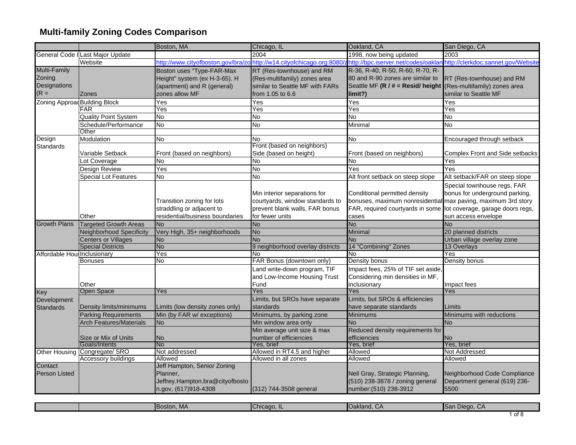|                               |                                  | Boston, MA                         | Chicago, IL                         | Oakland, CA                                                   | San Diego, CA                      |
|-------------------------------|----------------------------------|------------------------------------|-------------------------------------|---------------------------------------------------------------|------------------------------------|
|                               | General Code I Last Major Update |                                    | 2004                                | 1998, now being updated                                       | 2003                               |
|                               | Website                          | http://www.cityofboston.gov/bra/zo | http://w14.cityofchicago.org:8080/z | http://bpc.iserver.net/codes/oaklar                           | http://clerkdoc.sannet.gov/Website |
| Multi-Family                  |                                  | Boston uses "Type-FAR-Max          | RT (Res-townhouse) and RM           | R-36, R-40, R-50, R-60, R-70, R-                              |                                    |
| Zoning                        |                                  | Height" system (ex H-3-65). H      | (Res-multifamily) zones area        | 80 and R-90 zones are similar to                              | RT (Res-townhouse) and RM          |
| Designations                  |                                  | (apartment) and R (general)        | similar to Seattle MF with FARs     | Seattle MF (R / # = Resid/ height                             | (Res-multifamily) zones area       |
| $(R =$                        | <b>Zones</b>                     | zones allow MF                     | from 1.05 to 6.6                    | limit?)                                                       | similar to Seattle MF              |
| Zoning Approad Building Block |                                  | Yes                                | Yes                                 | Yes                                                           | Yes                                |
|                               | <b>FAR</b>                       | Yes                                | Yes                                 | Yes                                                           | Yes                                |
|                               | <b>Quality Point System</b>      | No                                 | <b>No</b>                           | No                                                            | <b>No</b>                          |
|                               | Schedule/Performance             | ρ                                  | δ                                   | Minimal                                                       | No                                 |
|                               | Other                            |                                    |                                     |                                                               |                                    |
| Design                        | Modulation                       | <b>No</b>                          | No.                                 | <b>No</b>                                                     | Encouraged through setback         |
| Standards                     |                                  |                                    | Front (based on neighbors)          |                                                               |                                    |
|                               | Variable Setback                 | Front (based on neighbors)         | Side (based on height)              | Front (based on neighbors)                                    | Complex Front and Side setbacks    |
|                               | Lot Coverage                     | No                                 | No                                  | No                                                            | Yes                                |
|                               | Design Review                    | Yes                                | <b>No</b>                           | Yes                                                           | Yes                                |
|                               | <b>Special Lot Features</b>      | No                                 | <b>No</b>                           | Alt front setback on steep slope                              | Alt setback/FAR on steep slope     |
|                               |                                  |                                    |                                     |                                                               | Special townhouse regs, FAR        |
|                               |                                  |                                    | Min interior separations for        | Conditional permitted density                                 | bonus for underground parking,     |
|                               |                                  | Transition zoning for lots         | courtyards, window standards to     | bonuses, maximum nonresidential max paving, maximum 3rd story |                                    |
|                               |                                  | straddling or adjacent to          | prevent blank walls, FAR bonus      | FAR, required courtyards in some                              | lot coverage, garage doors regs,   |
|                               | Other                            | residential/business boundaries    | for fewer units                     | cases                                                         | sun access envelope                |
| <b>Growth Plans</b>           | <b>Targeted Growth Areas</b>     | <b>No</b>                          | <b>No</b>                           | $\overline{N_{0}}$                                            | <b>No</b>                          |
|                               | <b>Neighborhood Specificity</b>  | Very High, 35+ neighborhoods       | <b>No</b>                           | Minimal                                                       | 20 planned districts               |
|                               | <b>Centers or Villages</b>       | <b>No</b>                          | <b>No</b>                           | <b>No</b>                                                     | Urban village overlay zone         |
|                               | <b>Special Districts</b>         | <b>No</b>                          | 9 neighborhood overlay districts    | 14 "Combining" Zones                                          | 13 Overlays                        |
| Affordable Hou: Inclusionary  |                                  | Yes                                | No                                  | N٥                                                            | Yes                                |
|                               | <b>Bonuses</b>                   | No                                 | FAR Bonus (downtown only)           | Density bonus                                                 | Density bonus                      |
|                               |                                  |                                    | Land write-down program, TIF        | Impact fees, 25% of TIF set aside,                            |                                    |
|                               |                                  |                                    | and Low-Income Housing Trust        | Considering min densities in MF,                              |                                    |
|                               | Other                            |                                    | Fund                                | inclusionary                                                  | Impact fees                        |
| Key                           | Open Space                       | Yes                                | Yes                                 | Yes                                                           | Yes                                |
| Development                   |                                  |                                    | Limits, but SROs have separate      | Limits, but SROs & efficiencies                               |                                    |
| Standards                     | Density limits/minimums          | imits (low density zones only).    | standards                           | have separate standards                                       | Limits                             |
|                               | <b>Parking Requirements</b>      | Min (by FAR w/ exceptions)         | Minimums, by parking zone           | Minimums                                                      | Minimums with reductions           |
|                               | <b>Arch Features/Materials</b>   | No                                 | Min window area only                | <b>No</b>                                                     | <b>No</b>                          |
|                               |                                  |                                    | Min average unit size & max         | Reduced density requirements for                              |                                    |
|                               | Size or Mix of Units             | <b>No</b>                          | number of efficiencies              | efficiencies                                                  | <b>No</b>                          |
|                               | Goals/Intents                    | No                                 | Yes, brief                          | Yes, brief                                                    | Yes, brief                         |
| Other Housing                 | Congregate/ SRO                  | Not addressed                      | Allowed in RT4.5 and higher         | Allowed                                                       | Not Addressed                      |
|                               | Accessory buildings              | Allowed                            | Allowed in all zones                | Allowed                                                       | Allowed                            |
| Contact                       |                                  | Jeff Hampton, Senior Zoning        |                                     |                                                               |                                    |
| <b>Person Listed</b>          |                                  | Planner,                           |                                     | Neil Gray, Strategic Planning,                                | Neighborhood Code Compliance       |
|                               |                                  | Jeffrey.Hampton.bra@cityofbosto    |                                     | (510) 238-3878 / zoning general                               | Department general (619) 236-      |
|                               |                                  | n.gov, (617)918-4308               | (312) 744-3508 general              | number: (510) 238-3912                                        | 5500                               |

|  | oston, Ma | ICr<br>hicago | "Ooklond"<br>IUakianu. CA | $IC_{\alpha}$<br>--<br>Diego.<br>.<br>$\mathbf{u}$ |
|--|-----------|---------------|---------------------------|----------------------------------------------------|
|  |           |               |                           | $-1$                                               |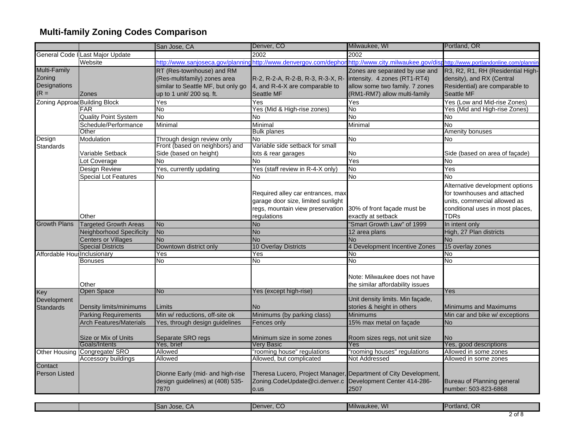|                               |                                          | San Jose, CA                       | Denver, CO                                                       | Milwaukee, WI                       | Portland, OR                          |
|-------------------------------|------------------------------------------|------------------------------------|------------------------------------------------------------------|-------------------------------------|---------------------------------------|
|                               | General Code I Last Major Update         |                                    | 2002                                                             | 2002                                |                                       |
|                               | Website                                  |                                    | http://www.sanjoseca.gov/planninghttp://www.denvergov.com/dephor | http://www.city.milwaukee.gov/disp  | http://www.portlandonline.com/plannin |
| Multi-Family                  |                                          | RT (Res-townhouse) and RM          |                                                                  | Zones are separated by use and      | R3, R2, R1, RH (Residential High-     |
| Zoning                        |                                          | (Res-multifamily) zones area       | R-2, R-2-A, R-2-B, R-3, R-3-X, R-                                | intensity. 4 zones (RT1-RT4)        | density), and RX (Central             |
| Designations                  |                                          | similar to Seattle MF, but only go | 4, and R-4-X are comparable to                                   | allow some two family. 7 zones      | Residential) are comparable to        |
| $(R =$                        | Zones                                    | up to 1 unit/ 200 sq. ft.          | Seattle MF                                                       | (RM1-RM7) allow multi-family        | Seattle MF                            |
| Zoning Approad Building Block |                                          | Yes                                | Yes                                                              | Yes                                 | Yes (Low and Mid-rise Zones)          |
|                               | <b>FAR</b>                               | <b>No</b>                          | Yes (Mid & High-rise zones)                                      | No.                                 | Yes (Mid and High-rise Zones)         |
|                               | <b>Quality Point System</b>              | Μo                                 | No                                                               | $\overline{N}$                      | No                                    |
|                               | Schedule/Performance                     | Minimal                            | Minimal                                                          | Minimal                             | No                                    |
|                               | Other                                    |                                    | <b>Bulk planes</b>                                               |                                     | Amenity bonuses                       |
| Design                        | Modulation                               | Through design review only         | <b>No</b>                                                        | <b>No</b>                           | No                                    |
| <b>Standards</b>              |                                          | Front (based on neighbors) and     | Variable side setback for small                                  |                                     |                                       |
|                               | Variable Setback                         | Side (based on height)             | lots & rear garages                                              | No                                  | Side (based on area of façade)        |
|                               | Lot Coverage                             | <b>No</b>                          | No                                                               | Yes                                 | No                                    |
|                               | Design Review                            | Yes, currently updating            | Yes (staff review in R-4-X only)                                 | <b>No</b>                           | Yes                                   |
|                               | <b>Special Lot Features</b>              | <b>No</b>                          | <b>No</b>                                                        | <b>No</b>                           | No.                                   |
|                               |                                          |                                    |                                                                  |                                     | Alternative development options       |
|                               |                                          |                                    | Required alley car entrances, max                                |                                     | for townhouses and attached           |
|                               |                                          |                                    | garage door size, limited sunlight                               |                                     | units, commercial allowed as          |
|                               |                                          |                                    | regs, mountain view preservation                                 | 30% of front façade must be         | conditional uses in most places,      |
|                               | Other                                    |                                    | regulations                                                      | exactly at setback                  | <b>TDRs</b>                           |
| <b>Growth Plans</b>           | <b>Targeted Growth Areas</b>             | <b>No</b>                          | <b>No</b>                                                        | "Smart Growth Law" of 1999          | In intent only                        |
|                               | <b>Neighborhood Specificity</b>          | No                                 | <b>No</b>                                                        | 12 area plans                       | High, 27 Plan districts               |
|                               | <b>Centers or Villages</b>               | <b>No</b>                          | <b>No</b>                                                        | <b>No</b>                           | No                                    |
|                               | <b>Special Districts</b><br>Inclusionary | Downtown district only<br>Yes      | <b>10 Overlay Districts</b><br>Yes                               | 4 Development Incentive Zones<br>No | 15 overlay zones<br>No                |
| Affordable Hou                | Bonuses                                  | No                                 | No                                                               | No                                  | No                                    |
|                               |                                          |                                    |                                                                  |                                     |                                       |
|                               |                                          |                                    |                                                                  | Note: Milwaukee does not have       |                                       |
|                               | Other                                    |                                    |                                                                  | the similar affordability issues    |                                       |
| Key                           | Open Space                               | No                                 | Yes (except high-rise)                                           |                                     | Yes                                   |
| Development                   |                                          |                                    |                                                                  | Unit density limits. Min façade,    |                                       |
| Standards                     | Density limits/minimums                  | Limits                             | No                                                               | stories & height in others          | Minimums and Maximums                 |
|                               | <b>Parking Requirements</b>              | Min w/ reductions, off-site ok     | Minimums (by parking class)                                      | <b>Minimums</b>                     | Min car and bike w/ exceptions        |
|                               | <b>Arch Features/Materials</b>           | Yes, through design guidelines     | Fences only                                                      | 15% max metal on façade             | No                                    |
|                               |                                          |                                    |                                                                  |                                     |                                       |
|                               | Size or Mix of Units                     | Separate SRO regs                  | Minimum size in some zones                                       | Room sizes regs, not unit size      | No                                    |
|                               | Goals/Intents                            | Yes, brief                         | Very Basic                                                       | Yes                                 | Yes, good descriptions                |
| <b>Other Housing</b>          | Congregate/ SRO                          | Allowed                            | 'rooming house" regulations                                      | "rooming houses" regulations        | Allowed in some zones                 |
|                               | <b>Accessory buildings</b>               | Allowed                            | Allowed, but complicated                                         | Not Addressed                       | Allowed in some zones                 |
| Contact                       |                                          |                                    |                                                                  |                                     |                                       |
| Person Listed                 |                                          | Dionne Early (mid- and high-rise   | Theresa Lucero, Project Manager, Department of City Development, |                                     |                                       |
|                               |                                          | design guidelines) at (408) 535-   | Zoning.CodeUpdate@ci.denver.c Development Center 414-286-        |                                     | Bureau of Planning general            |
|                               |                                          | 7870                               | o.us                                                             | 2507                                | number: 503-823-6868                  |

|  | <b>ISan Jose, CA</b> | Denver, CO | Milwaukee, WI | nd. OR<br>™Port⊾ |     |
|--|----------------------|------------|---------------|------------------|-----|
|  |                      |            |               |                  | . . |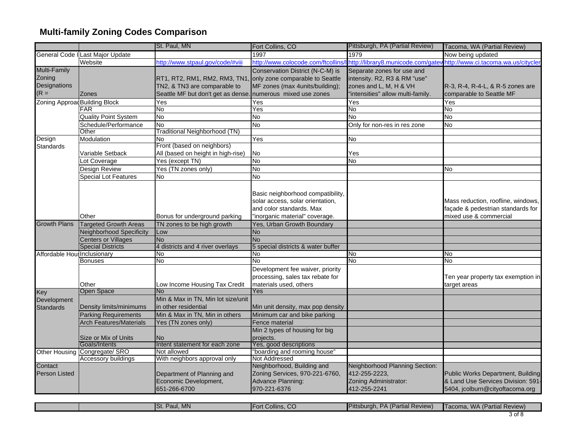|                                 |                                  | St. Paul, MN                                                        | Fort Collins, CO                                                                                                                    | Pittsburgh, PA (Partial Review)                                                          | Tacoma, WA (Partial Review)                                                                                |
|---------------------------------|----------------------------------|---------------------------------------------------------------------|-------------------------------------------------------------------------------------------------------------------------------------|------------------------------------------------------------------------------------------|------------------------------------------------------------------------------------------------------------|
|                                 | General Code I Last Major Update |                                                                     | 1997                                                                                                                                | 1979                                                                                     | Now being updated                                                                                          |
|                                 | Website                          | http://www.stpaul.gov/code/#viii                                    | http://www.colocode.com/ftcollins                                                                                                   | http://library8.municode.com/gater                                                       | http://www.ci.tacoma.wa.us/citycle                                                                         |
| Multi-Family                    |                                  |                                                                     | Conservation District (N-C-M) is                                                                                                    | Separate zones for use and                                                               |                                                                                                            |
| Zoning                          |                                  | RT1, RT2, RM1, RM2, RM3, TN1, only zone comparable to Seattle       |                                                                                                                                     | intensity. R2, R3 & RM "use"                                                             |                                                                                                            |
| Designations                    |                                  | TN2, & TN3 are comparable to                                        | MF zones (max 4units/building);                                                                                                     | zones and L, M, H & VH                                                                   | R-3, R-4, R-4-L, & R-5 zones are                                                                           |
| $(R =$                          | <b>Zones</b>                     | Seattle MF but don't get as dense. numerous mixed use zones         |                                                                                                                                     | 'intensities" allow multi-family.                                                        | comparable to Seattle MF                                                                                   |
| Zoning Approad Building Block   |                                  | Yes                                                                 | Yes                                                                                                                                 | Yes                                                                                      | Yes                                                                                                        |
|                                 | <b>FAR</b>                       | No                                                                  | Yes                                                                                                                                 | No                                                                                       | No                                                                                                         |
|                                 | <b>Quality Point System</b>      | <b>No</b>                                                           | No                                                                                                                                  | $\overline{N}$                                                                           | Μo                                                                                                         |
|                                 | Schedule/Performance             | No                                                                  | No                                                                                                                                  | Only for non-res in res zone                                                             | <b>No</b>                                                                                                  |
|                                 | Other                            | Traditional Neighborhood (TN)                                       |                                                                                                                                     |                                                                                          |                                                                                                            |
| Design                          | Modulation                       | No                                                                  | Yes                                                                                                                                 | No                                                                                       |                                                                                                            |
| <b>Standards</b>                |                                  | Front (based on neighbors)                                          |                                                                                                                                     |                                                                                          |                                                                                                            |
|                                 | Variable Setback                 | All (based on height in high-rise)                                  | No                                                                                                                                  | Yes                                                                                      |                                                                                                            |
|                                 | Lot Coverage                     | Yes (except TN)                                                     | <b>No</b>                                                                                                                           | No                                                                                       |                                                                                                            |
|                                 | Design Review                    | Yes (TN zones only)                                                 | $\overline{N}$                                                                                                                      |                                                                                          | <b>No</b>                                                                                                  |
|                                 | <b>Special Lot Features</b>      | No                                                                  | No                                                                                                                                  |                                                                                          |                                                                                                            |
|                                 | Other                            | Bonus for underground parking                                       | Basic neighborhood compatibility,<br>solar access, solar orientation,<br>and color standards. Max<br>'inorganic material" coverage. |                                                                                          | Mass reduction, roofline, windows,<br>façade & pedestrian standards for<br>mixed use & commercial          |
| <b>Growth Plans</b>             | <b>Targeted Growth Areas</b>     | TN zones to be high growth                                          | Yes, Urban Growth Boundary                                                                                                          |                                                                                          |                                                                                                            |
|                                 | <b>Neighborhood Specificity</b>  | Low                                                                 | <b>No</b>                                                                                                                           |                                                                                          |                                                                                                            |
|                                 | <b>Centers or Villages</b>       | <b>No</b>                                                           | <b>No</b>                                                                                                                           |                                                                                          |                                                                                                            |
|                                 | <b>Special Districts</b>         | 4 districts and 4 river overlays                                    | 5 special districts & water buffer                                                                                                  |                                                                                          |                                                                                                            |
| Affordable Hou: Inclusionary    |                                  | No                                                                  | No.                                                                                                                                 | No.                                                                                      | No                                                                                                         |
|                                 | <b>Bonuses</b>                   | No                                                                  | No                                                                                                                                  | No                                                                                       | No                                                                                                         |
|                                 | Other                            | Low Income Housing Tax Credit                                       | Development fee waiver, priority<br>processing, sales tax rebate for<br>materials used, others                                      |                                                                                          | Ten year property tax exemption in<br>target areas                                                         |
| Key                             | Open Space                       | No                                                                  | Yes                                                                                                                                 |                                                                                          |                                                                                                            |
| Development<br>Standards        | Density limits/minimums          | Min & Max in TN, Min lot size/unit<br>in other residential          | Min unit density, max pop density                                                                                                   |                                                                                          |                                                                                                            |
|                                 | <b>Parking Requirements</b>      | Min & Max in TN, Min in others                                      | Minimum car and bike parking                                                                                                        |                                                                                          |                                                                                                            |
|                                 | <b>Arch Features/Materials</b>   | Yes (TN zones only)                                                 | Fence material                                                                                                                      |                                                                                          |                                                                                                            |
|                                 | Size or Mix of Units             | <b>No</b>                                                           | Min 2 types of housing for big<br>projects.                                                                                         |                                                                                          |                                                                                                            |
|                                 | Goals/Intents                    | Intent statement for each zone                                      | Yes, good descriptions                                                                                                              |                                                                                          |                                                                                                            |
| Other Housing                   | Congregate/ SRO                  | Not allowed                                                         | "boarding and rooming house"                                                                                                        |                                                                                          |                                                                                                            |
|                                 | Accessory buildings              | With neighbors approval only                                        | Not Addressed                                                                                                                       |                                                                                          |                                                                                                            |
| Contact<br><b>Person Listed</b> |                                  | Department of Planning and<br>Economic Development,<br>651-266-6700 | Neighborhood, Building and<br>Zoning Services, 970-221-6760,<br>Advance Planning:<br>970-221-6376                                   | Neighborhood Planning Section:<br>412-255-2223,<br>Zoning Administrator:<br>412-255-2241 | Public Works Department, Building<br>& Land Use Services Division: 591-<br>5404, jcolburn@cityoftacoma.org |

|  | Paul, MN<br>$\blacksquare$ St. | $\sim$<br><br>.t Collins. CO⊺<br>⊿⊢ort⁄ | PA (Partial Review)<br><b>IPittsburgh, F</b> | <b>WA (Partial Review)</b><br>I I acoma. |
|--|--------------------------------|-----------------------------------------|----------------------------------------------|------------------------------------------|
|  |                                |                                         |                                              | ہ عہ ا                                   |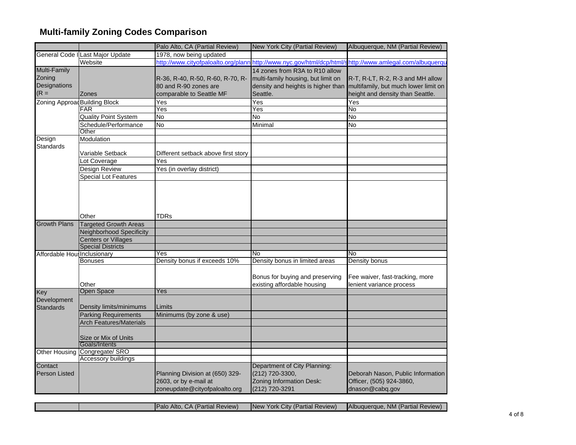|                               |                                                                 | Palo Alto, CA (Partial Review)      | <b>New York City (Partial Review)</b>                          | Albuquerque, NM (Partial Review)                            |
|-------------------------------|-----------------------------------------------------------------|-------------------------------------|----------------------------------------------------------------|-------------------------------------------------------------|
|                               | General Code I Last Major Update                                | 1978, now being updated             |                                                                |                                                             |
|                               | Website                                                         | http://www.cityofpaloalto.org/plann | http://www.nyc.gov/html/dcp/html/                              | http://www.amlegal.com/albuquerqu                           |
| Multi-Family                  |                                                                 |                                     | 14 zones from R3A to R10 allow                                 |                                                             |
| Zoning                        |                                                                 | R-36, R-40, R-50, R-60, R-70, R-    | multi-family housing, but limit on                             | R-T, R-LT, R-2, R-3 and MH allow                            |
| Designations                  |                                                                 | 80 and R-90 zones are               | density and heights is higher than                             | multifamily, but much lower limit on                        |
| $(R =$                        | <b>Zones</b>                                                    | comparable to Seattle MF            | Seattle.                                                       | height and density than Seattle.                            |
| Zoning Approad Building Block |                                                                 | Yes                                 | $\overline{\text{Yes}}$                                        | Yes                                                         |
|                               | <b>FAR</b>                                                      | Yes                                 | Yes                                                            | No                                                          |
|                               | <b>Quality Point System</b>                                     | No                                  | No                                                             | N <sub>o</sub>                                              |
|                               | Schedule/Performance                                            | No                                  | Minimal                                                        | No                                                          |
|                               | Other                                                           |                                     |                                                                |                                                             |
| Design                        | Modulation                                                      |                                     |                                                                |                                                             |
| <b>Standards</b>              |                                                                 |                                     |                                                                |                                                             |
|                               | Variable Setback                                                | Different setback above first story |                                                                |                                                             |
|                               | Lot Coverage                                                    | Yes                                 |                                                                |                                                             |
|                               | Design Review                                                   | Yes (in overlay district)           |                                                                |                                                             |
|                               | <b>Special Lot Features</b>                                     |                                     |                                                                |                                                             |
|                               |                                                                 |                                     |                                                                |                                                             |
| <b>Growth Plans</b>           | Other                                                           | <b>TDRs</b>                         |                                                                |                                                             |
|                               | <b>Targeted Growth Areas</b><br><b>Neighborhood Specificity</b> |                                     |                                                                |                                                             |
|                               |                                                                 |                                     |                                                                |                                                             |
|                               | Centers or Villages<br><b>Special Districts</b>                 |                                     |                                                                |                                                             |
| Affordable Hou: Inclusionary  |                                                                 | Yes                                 | No                                                             | No                                                          |
|                               | <b>Bonuses</b>                                                  | Density bonus if exceeds 10%        | Density bonus in limited areas                                 | Density bonus                                               |
|                               |                                                                 |                                     |                                                                |                                                             |
|                               | Other                                                           |                                     | Bonus for buying and preserving<br>existing affordable housing | Fee waiver, fast-tracking, more<br>lenient variance process |
| Key                           | Open Space                                                      | Yes                                 |                                                                |                                                             |
| Development                   |                                                                 |                                     |                                                                |                                                             |
| <b>Standards</b>              | Density limits/minimums                                         | Limits                              |                                                                |                                                             |
|                               | <b>Parking Requirements</b>                                     | Minimums (by zone & use)            |                                                                |                                                             |
|                               | <b>Arch Features/Materials</b>                                  |                                     |                                                                |                                                             |
|                               | Size or Mix of Units                                            |                                     |                                                                |                                                             |
|                               | Goals/Intents<br>Congregate/ SRO                                |                                     |                                                                |                                                             |
| Other Housing                 | Accessory buildings                                             |                                     |                                                                |                                                             |
| Contact                       |                                                                 |                                     | Department of City Planning:                                   |                                                             |
| <b>Person Listed</b>          |                                                                 | Planning Division at (650) 329-     | (212) 720-3300,                                                | Deborah Nason, Public Information                           |
|                               |                                                                 | 2603, or by e-mail at               | Zoning Information Desk:                                       | Officer, (505) 924-3860,                                    |
|                               |                                                                 | zoneupdate@cityofpaloalto.org       | (212) 720-3291                                                 | dnason@cabq.gov                                             |
|                               |                                                                 |                                     |                                                                |                                                             |

| D. | <b>Alto</b><br>$\sqrt{1}$ | <b>Review</b><br>amar | <br><b>Review</b><br>City (Partial)<br>rork.<br><b>INev</b> | <b>NM</b><br>$\sim$<br>(Partial)<br>Albuquerque<br>Review |
|----|---------------------------|-----------------------|-------------------------------------------------------------|-----------------------------------------------------------|
|    |                           |                       |                                                             |                                                           |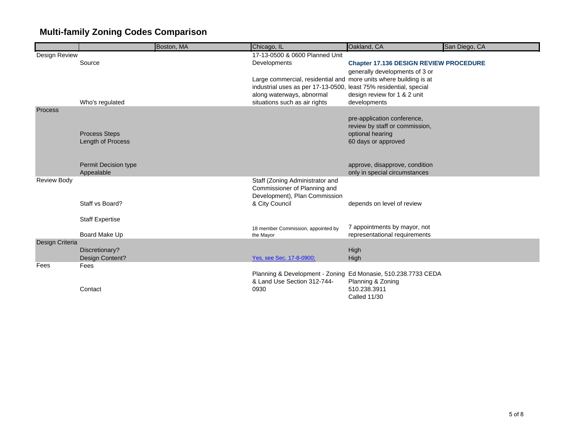| 17-13-0500 & 0600 Planned Unit<br>Design Review                                                                                   |  |
|-----------------------------------------------------------------------------------------------------------------------------------|--|
| Source<br>Developments<br><b>Chapter 17.136 DESIGN REVIEW PROCEDURE</b>                                                           |  |
| generally developments of 3 or                                                                                                    |  |
| Large commercial, residential and more units where building is at                                                                 |  |
| industrial uses as per 17-13-0500, least 75% residential, special                                                                 |  |
| along waterways, abnormal<br>design review for 1 & 2 unit                                                                         |  |
| Who's regulated<br>situations such as air rights<br>developments<br><b>Process</b>                                                |  |
| pre-application conference,                                                                                                       |  |
| review by staff or commission,                                                                                                    |  |
| <b>Process Steps</b><br>optional hearing                                                                                          |  |
| 60 days or approved<br>Length of Process                                                                                          |  |
|                                                                                                                                   |  |
|                                                                                                                                   |  |
| approve, disapprove, condition<br>Permit Decision type<br>Appealable<br>only in special circumstances                             |  |
| <b>Review Body</b><br>Staff (Zoning Administrator and                                                                             |  |
| Commissioner of Planning and                                                                                                      |  |
| Development), Plan Commission                                                                                                     |  |
| & City Council<br>Staff vs Board?<br>depends on level of review                                                                   |  |
|                                                                                                                                   |  |
| <b>Staff Expertise</b>                                                                                                            |  |
| 7 appointments by mayor, not<br>18 member Commission, appointed by<br>Board Make Up<br>representational requirements<br>the Mayor |  |
| Design Criteria                                                                                                                   |  |
| Discretionary?<br>High                                                                                                            |  |
| Design Content?<br>High<br>Yes, see Sec. 17-8-0900;                                                                               |  |
| Fees<br>Fees                                                                                                                      |  |
| Planning & Development - Zoning Ed Monasie, 510.238.7733 CEDA                                                                     |  |
| & Land Use Section 312-744-<br>Planning & Zoning                                                                                  |  |
| 510.238.3911<br>Contact<br>0930<br><b>Called 11/30</b>                                                                            |  |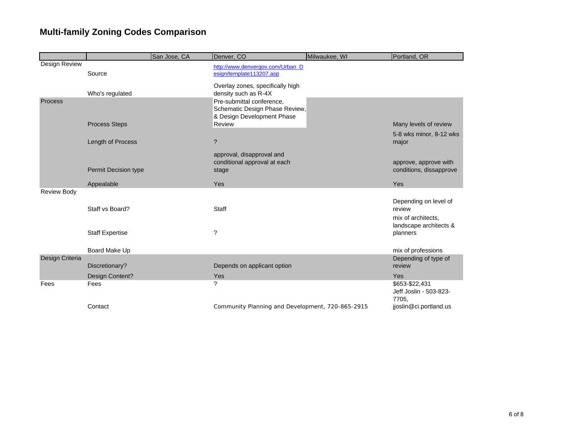|                    |                        | San Jose, CA | Denver, CO                                                                                       | Milwaukee, WI | Portland, OR                                                                    |
|--------------------|------------------------|--------------|--------------------------------------------------------------------------------------------------|---------------|---------------------------------------------------------------------------------|
| Design Review      | Source                 |              | http://www.denvergov.com/Urban D<br>esign/template113207.asp<br>Overlay zones, specifically high |               |                                                                                 |
|                    | Who's regulated        |              | density such as R-4X                                                                             |               |                                                                                 |
| Process            |                        |              | Pre-submittal conference,<br>Schematic Design Phase Review,<br>& Design Development Phase        |               |                                                                                 |
|                    | <b>Process Steps</b>   |              | Review                                                                                           |               | Many levels of review                                                           |
|                    | Length of Process      |              | $\overline{?}$                                                                                   |               | 5-8 wks minor, 8-12 wks<br>major                                                |
|                    |                        |              | approval, disapproval and<br>conditional approval at each                                        |               | approve, approve with                                                           |
|                    | Permit Decision type   |              | stage                                                                                            |               | conditions, dissapprove                                                         |
|                    | Appealable             |              | Yes                                                                                              |               | Yes                                                                             |
| <b>Review Body</b> |                        |              |                                                                                                  |               |                                                                                 |
|                    | Staff vs Board?        |              | Staff                                                                                            |               | Depending on level of<br>review<br>mix of architects.<br>landscape architects & |
|                    | <b>Staff Expertise</b> |              | $\overline{\phantom{a}}$                                                                         |               | planners                                                                        |
|                    | Board Make Up          |              |                                                                                                  |               | mix of professions                                                              |
| Design Criteria    | Discretionary?         |              | Depends on applicant option                                                                      |               | Depending of type of<br>review                                                  |
|                    | Design Content?        |              | Yes                                                                                              |               | Yes                                                                             |
| Fees               | Fees                   |              | ?                                                                                                |               | \$653-\$22,431<br>Jeff Joslin - 503-823-<br>7705.                               |
|                    | Contact                |              | Community Planning and Development, 720-865-2915                                                 |               | jjoslin@ci.portland.us                                                          |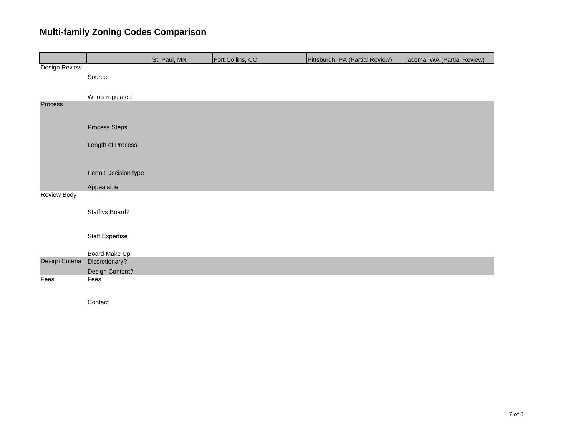|                    |                        | St. Paul, MN | Fort Collins, CO | Pittsburgh, PA (Partial Review) | Tacoma, WA (Partial Review) |
|--------------------|------------------------|--------------|------------------|---------------------------------|-----------------------------|
| Design Review      |                        |              |                  |                                 |                             |
|                    | Source                 |              |                  |                                 |                             |
|                    |                        |              |                  |                                 |                             |
|                    | Who's regulated        |              |                  |                                 |                             |
| Process            |                        |              |                  |                                 |                             |
|                    | Process Steps          |              |                  |                                 |                             |
|                    | Length of Process      |              |                  |                                 |                             |
|                    |                        |              |                  |                                 |                             |
|                    | Permit Decision type   |              |                  |                                 |                             |
|                    | Appealable             |              |                  |                                 |                             |
| <b>Review Body</b> |                        |              |                  |                                 |                             |
|                    | Staff vs Board?        |              |                  |                                 |                             |
|                    |                        |              |                  |                                 |                             |
|                    | <b>Staff Expertise</b> |              |                  |                                 |                             |
|                    | Board Make Up          |              |                  |                                 |                             |
| Design Criteria    | Discretionary?         |              |                  |                                 |                             |
|                    | Design Content?        |              |                  |                                 |                             |
| Fees               | Fees                   |              |                  |                                 |                             |
|                    |                        |              |                  |                                 |                             |

Contact